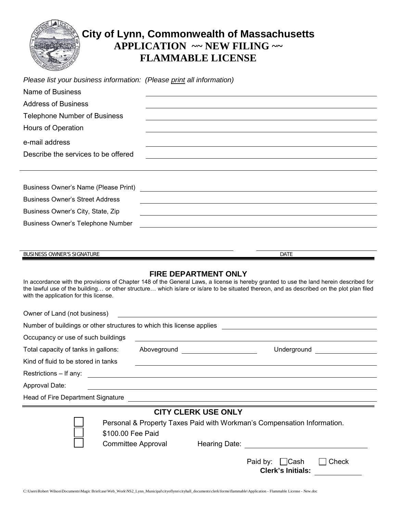

# **City of Lynn, Commonwealth of Massachusetts APPLICATION ~~ NEW FILING ~~ FLAMMABLE LICENSE**

| Please list your business information: (Please print all information)                                                                                                                                                                                         |             |  |  |  |  |
|---------------------------------------------------------------------------------------------------------------------------------------------------------------------------------------------------------------------------------------------------------------|-------------|--|--|--|--|
| Name of Business                                                                                                                                                                                                                                              |             |  |  |  |  |
| <b>Address of Business</b>                                                                                                                                                                                                                                    |             |  |  |  |  |
| <b>Telephone Number of Business</b>                                                                                                                                                                                                                           |             |  |  |  |  |
| Hours of Operation                                                                                                                                                                                                                                            |             |  |  |  |  |
| e-mail address                                                                                                                                                                                                                                                |             |  |  |  |  |
| Describe the services to be offered                                                                                                                                                                                                                           |             |  |  |  |  |
|                                                                                                                                                                                                                                                               |             |  |  |  |  |
|                                                                                                                                                                                                                                                               |             |  |  |  |  |
|                                                                                                                                                                                                                                                               |             |  |  |  |  |
| <b>Business Owner's Street Address</b><br><u> 1989 - Johann Stoff, deutscher Stoffen und der Stoffen und der Stoffen und der Stoffen und der Stoffen und der</u><br>Business Owner's City, State, Zip<br><u> 1980 - Johann Barn, fransk politik (d. 1980)</u> |             |  |  |  |  |
|                                                                                                                                                                                                                                                               |             |  |  |  |  |
|                                                                                                                                                                                                                                                               |             |  |  |  |  |
|                                                                                                                                                                                                                                                               |             |  |  |  |  |
| BUSINESS OWNER'S SIGNATURE                                                                                                                                                                                                                                    | <b>DATE</b> |  |  |  |  |

#### **FIRE DEPARTMENT ONLY**

In accordance with the provisions of Chapter 148 of the General Laws, a license is hereby granted to use the land herein described for the lawful use of the building… or other structure… which is/are or is/are to be situated thereon, and as described on the plot plan filed with the application for this license.

| Owner of Land (not business)                                          |                                                                                                                |             |  |
|-----------------------------------------------------------------------|----------------------------------------------------------------------------------------------------------------|-------------|--|
| Number of buildings or other structures to which this license applies |                                                                                                                |             |  |
| Occupancy or use of such buildings                                    |                                                                                                                |             |  |
| Total capacity of tanks in gallons:                                   | Aboveground Abover Above Above Above Above Above Above Above Above Above Above Above Above Above Above Above A | Underground |  |
| Kind of fluid to be stored in tanks                                   |                                                                                                                |             |  |
| Restrictions - If any: _______________________                        |                                                                                                                |             |  |
| Approval Date:                                                        |                                                                                                                |             |  |
| Head of Fire Department Signature                                     |                                                                                                                |             |  |

### **CITY CLERK USE ONLY**

Personal & Property Taxes Paid with Workman's Compensation Information. \$100.00 Fee Paid

Committee Approval Hearing Date:

| Paid by: □Cash           |  | $\Box$ Check |
|--------------------------|--|--------------|
| <b>Clerk's Initials:</b> |  |              |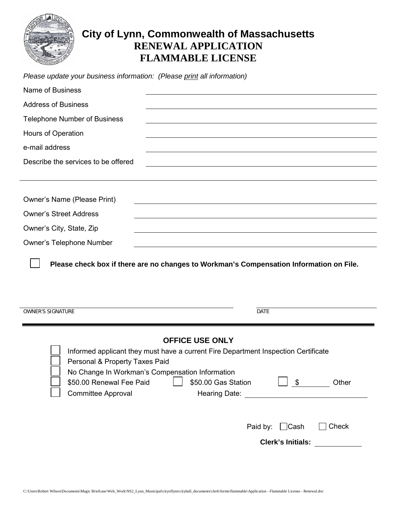

## **City of Lynn, Commonwealth of Massachusetts RENEWAL APPLICATION FLAMMABLE LICENSE**

| Please update your business information: (Please print all information) |  |
|-------------------------------------------------------------------------|--|
|-------------------------------------------------------------------------|--|

| <b>Name of Business</b>                                                                 |                                                                                                                                                                                                                                                                                                                                                         |
|-----------------------------------------------------------------------------------------|---------------------------------------------------------------------------------------------------------------------------------------------------------------------------------------------------------------------------------------------------------------------------------------------------------------------------------------------------------|
| <b>Address of Business</b>                                                              |                                                                                                                                                                                                                                                                                                                                                         |
| <b>Telephone Number of Business</b>                                                     |                                                                                                                                                                                                                                                                                                                                                         |
| Hours of Operation                                                                      |                                                                                                                                                                                                                                                                                                                                                         |
| e-mail address                                                                          |                                                                                                                                                                                                                                                                                                                                                         |
| Describe the services to be offered                                                     |                                                                                                                                                                                                                                                                                                                                                         |
|                                                                                         |                                                                                                                                                                                                                                                                                                                                                         |
| <b>Owner's Name (Please Print)</b>                                                      |                                                                                                                                                                                                                                                                                                                                                         |
| <b>Owner's Street Address</b>                                                           |                                                                                                                                                                                                                                                                                                                                                         |
| Owner's City, State, Zip                                                                |                                                                                                                                                                                                                                                                                                                                                         |
| <b>Owner's Telephone Number</b>                                                         |                                                                                                                                                                                                                                                                                                                                                         |
| <b>OWNER'S SIGNATURE</b>                                                                | <b>DATE</b>                                                                                                                                                                                                                                                                                                                                             |
|                                                                                         |                                                                                                                                                                                                                                                                                                                                                         |
| Personal & Property Taxes Paid<br>\$50.00 Renewal Fee Paid<br><b>Committee Approval</b> | <b>OFFICE USE ONLY</b><br>Informed applicant they must have a current Fire Department Inspection Certificate<br>No Change In Workman's Compensation Information<br>Other<br>\$50.00 Gas Station<br>$\sqrt{3}$<br>Hearing Date:<br><u> 1989 - John Stein, mars and de Branch and de Branch and de Branch and de Branch and de Branch and de Branch a</u> |
|                                                                                         | $\Box$ Cash<br>Check<br>Paid by:                                                                                                                                                                                                                                                                                                                        |
|                                                                                         | <b>Clerk's Initials:</b>                                                                                                                                                                                                                                                                                                                                |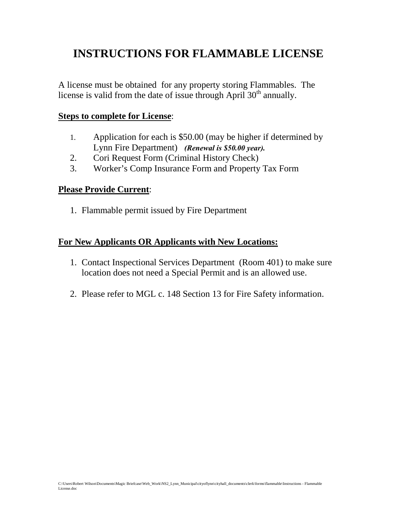# **INSTRUCTIONS FOR FLAMMABLE LICENSE**

A license must be obtained for any property storing Flammables. The license is valid from the date of issue through April  $30<sup>th</sup>$  annually.

### **Steps to complete for License**:

- 1. Application for each is \$50.00 (may be higher if determined by Lynn Fire Department) *(Renewal is \$50.00 year).*
- 2. Cori Request Form (Criminal History Check)
- 3. Worker's Comp Insurance Form and Property Tax Form

### **Please Provide Current**:

1. Flammable permit issued by Fire Department

## **For New Applicants OR Applicants with New Locations:**

- 1. Contact Inspectional Services Department (Room 401) to make sure location does not need a Special Permit and is an allowed use.
- 2. Please refer to MGL c. 148 Section 13 for Fire Safety information.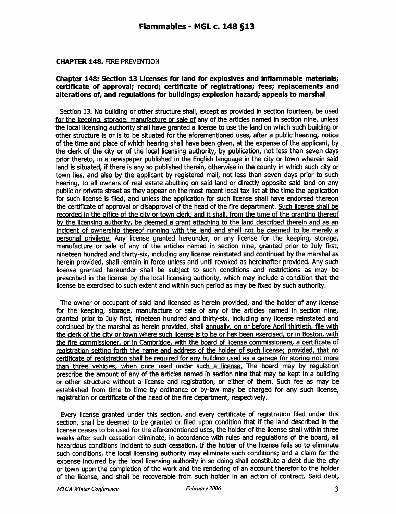#### **CHAPTER 148. FIRE PREVENTION**

#### Chapter 148: Section 13 Licenses for land for explosives and inflammable materials; certificate of approval; record; certificate of registrations; fees; replacements and alterations of, and regulations for buildings; explosion hazard; appeals to marshal

Section 13. No building or other structure shall, except as provided in section fourteen, be used for the keeping, storage, manufacture or sale of any of the articles named in section nine, unless the local licensing authority shall have granted a license to use the land on which such building or other structure is or is to be situated for the aforementioned uses, after a public hearing, notice of the time and place of which hearing shall have been given, at the expense of the applicant, by the clerk of the city or of the local licensing authority, by publication, not less than seven days prior thereto, in a newspaper published in the English language in the city or town wherein said land is situated, if there is any so published therein, otherwise in the county in which such city or town lies, and also by the applicant by registered mail, not less than seven days prior to such hearing, to all owners of real estate abutting on said land or directly opposite said land on any public or private street as they appear on the most recent local tax list at the time the application for such license is filed, and unless the application for such license shall have endorsed thereon the certificate of approval or disapproval of the head of the fire department. Such license shall be recorded in the office of the city or town clerk, and it shall, from the time of the granting thereof by the licensing authority, be deemed a grant attaching to the land described therein and as an incident of ownership thereof running with the land and shall not be deemed to be merely a personal privilege. Any license granted hereunder, or any license for the keeping, storage, manufacture or sale of any of the articles named in section nine, granted prior to July first, nineteen hundred and thirty-six, including any license reinstated and continued by the marshal as herein provided, shall remain in force unless and until revoked as hereinafter provided. Any such license granted hereunder shall be subject to such conditions and restrictions as may be prescribed in the license by the local licensing authority, which may include a condition that the license be exercised to such extent and within such period as may be fixed by such authority.

The owner or occupant of said land licensed as herein provided, and the holder of any license for the keeping, storage, manufacture or sale of any of the articles named in section nine, granted prior to July first, nineteen hundred and thirty-six, including any license reinstated and continued by the marshal as herein provided, shall annually, on or before April thirtieth, file with the clerk of the city or town where such license is to be or has been exercised, or in Boston, with the fire commissioner, or in Cambridge, with the board of license commissioners, a certificate of registration setting forth the name and address of the holder of such license; provided, that no certificate of registration shall be required for any building used as a garage for storing not more than three vehicles, when once used under such a license. The board may by regulation prescribe the amount of any of the articles named in section nine that may be kept in a building or other structure without a license and registration, or either of them. Such fee as may be established from time to time by ordinance or by-law may be charged for any such license, registration or certificate of the head of the fire department, respectively.

Every license granted under this section, and every certificate of registration filed under this section, shall be deemed to be granted or filed upon condition that if the land described in the license ceases to be used for the aforementioned uses, the holder of the license shall within three weeks after such cessation eliminate, in accordance with rules and regulations of the board, all hazardous conditions incident to such cessation. If the holder of the license fails so to eliminate such conditions, the local licensing authority may eliminate such conditions; and a claim for the expense incurred by the local licensing authority in so doing shall constitute a debt due the city or town upon the completion of the work and the rendering of an account therefor to the holder of the license, and shall be recoverable from such holder in an action of contract. Said debt,